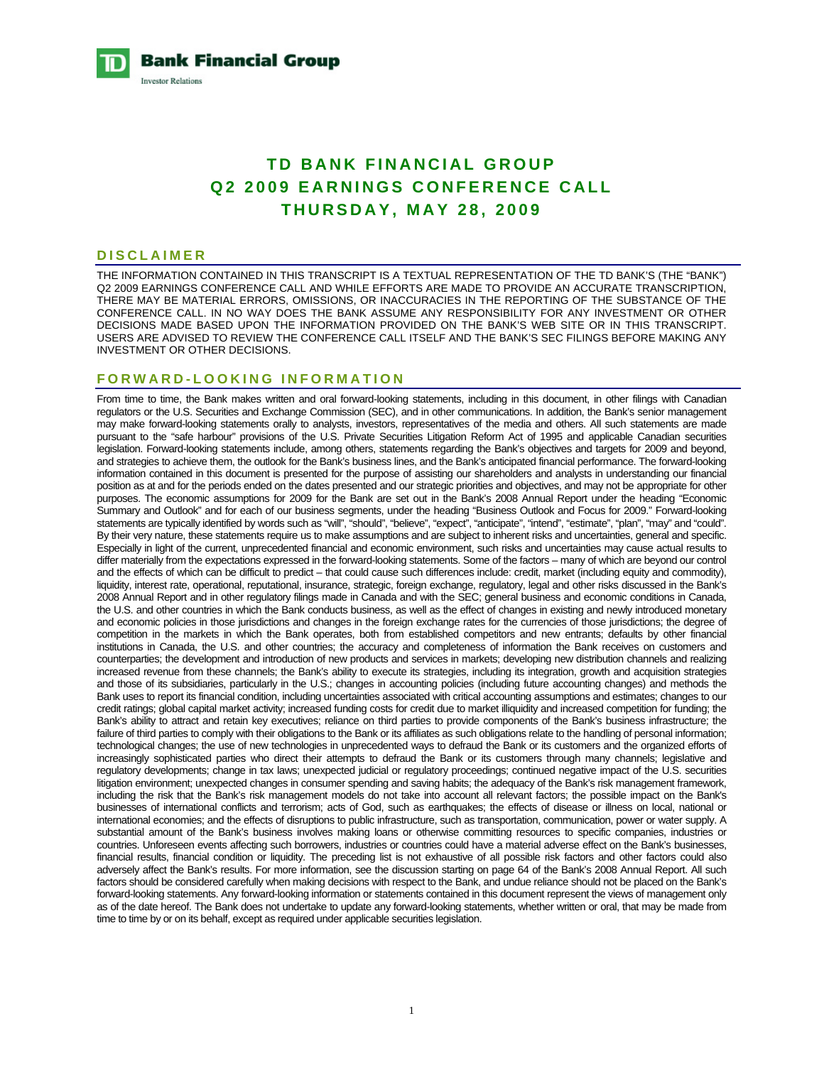**Bank Financial Group Investor Relations** 

# **TD BANK FINANCIAL GROUP Q2 2009 EARNINGS CONFERENCE CALL THURSDAY, MAY 28, 2009**

#### **DISCLAIMER**

THE INFORMATION CONTAINED IN THIS TRANSCRIPT IS A TEXTUAL REPRESENTATION OF THE TD BANK'S (THE "BANK") Q2 2009 EARNINGS CONFERENCE CALL AND WHILE EFFORTS ARE MADE TO PROVIDE AN ACCURATE TRANSCRIPTION, THERE MAY BE MATERIAL ERRORS, OMISSIONS, OR INACCURACIES IN THE REPORTING OF THE SUBSTANCE OF THE CONFERENCE CALL. IN NO WAY DOES THE BANK ASSUME ANY RESPONSIBILITY FOR ANY INVESTMENT OR OTHER DECISIONS MADE BASED UPON THE INFORMATION PROVIDED ON THE BANK'S WEB SITE OR IN THIS TRANSCRIPT. USERS ARE ADVISED TO REVIEW THE CONFERENCE CALL ITSELF AND THE BANK'S SEC FILINGS BEFORE MAKING ANY INVESTMENT OR OTHER DECISIONS.

# **FORWARD-LOOKING INFORMATION**

From time to time, the Bank makes written and oral forward-looking statements, including in this document, in other filings with Canadian regulators or the U.S. Securities and Exchange Commission (SEC), and in other communications. In addition, the Bank's senior management may make forward-looking statements orally to analysts, investors, representatives of the media and others. All such statements are made pursuant to the "safe harbour" provisions of the U.S. Private Securities Litigation Reform Act of 1995 and applicable Canadian securities legislation. Forward-looking statements include, among others, statements regarding the Bank's objectives and targets for 2009 and beyond, and strategies to achieve them, the outlook for the Bank's business lines, and the Bank's anticipated financial performance. The forward-looking information contained in this document is presented for the purpose of assisting our shareholders and analysts in understanding our financial position as at and for the periods ended on the dates presented and our strategic priorities and objectives, and may not be appropriate for other purposes. The economic assumptions for 2009 for the Bank are set out in the Bank's 2008 Annual Report under the heading "Economic Summary and Outlook" and for each of our business segments, under the heading "Business Outlook and Focus for 2009." Forward-looking statements are typically identified by words such as "will", "should", "believe", "expect", "anticipate", "intend", "estimate", "plan", "may" and "could". By their very nature, these statements require us to make assumptions and are subject to inherent risks and uncertainties, general and specific. Especially in light of the current, unprecedented financial and economic environment, such risks and uncertainties may cause actual results to differ materially from the expectations expressed in the forward-looking statements. Some of the factors – many of which are beyond our control and the effects of which can be difficult to predict – that could cause such differences include: credit, market (including equity and commodity), liquidity, interest rate, operational, reputational, insurance, strategic, foreign exchange, regulatory, legal and other risks discussed in the Bank's 2008 Annual Report and in other regulatory filings made in Canada and with the SEC; general business and economic conditions in Canada, the U.S. and other countries in which the Bank conducts business, as well as the effect of changes in existing and newly introduced monetary and economic policies in those jurisdictions and changes in the foreign exchange rates for the currencies of those jurisdictions; the degree of competition in the markets in which the Bank operates, both from established competitors and new entrants; defaults by other financial institutions in Canada, the U.S. and other countries; the accuracy and completeness of information the Bank receives on customers and counterparties; the development and introduction of new products and services in markets; developing new distribution channels and realizing increased revenue from these channels; the Bank's ability to execute its strategies, including its integration, growth and acquisition strategies and those of its subsidiaries, particularly in the U.S.; changes in accounting policies (including future accounting changes) and methods the Bank uses to report its financial condition, including uncertainties associated with critical accounting assumptions and estimates; changes to our credit ratings; global capital market activity; increased funding costs for credit due to market illiquidity and increased competition for funding; the Bank's ability to attract and retain key executives; reliance on third parties to provide components of the Bank's business infrastructure; the failure of third parties to comply with their obligations to the Bank or its affiliates as such obligations relate to the handling of personal information; technological changes; the use of new technologies in unprecedented ways to defraud the Bank or its customers and the organized efforts of increasingly sophisticated parties who direct their attempts to defraud the Bank or its customers through many channels; legislative and regulatory developments; change in tax laws; unexpected judicial or regulatory proceedings; continued negative impact of the U.S. securities litigation environment; unexpected changes in consumer spending and saving habits; the adequacy of the Bank's risk management framework, including the risk that the Bank's risk management models do not take into account all relevant factors; the possible impact on the Bank's businesses of international conflicts and terrorism; acts of God, such as earthquakes; the effects of disease or illness on local, national or international economies; and the effects of disruptions to public infrastructure, such as transportation, communication, power or water supply. A substantial amount of the Bank's business involves making loans or otherwise committing resources to specific companies, industries or countries. Unforeseen events affecting such borrowers, industries or countries could have a material adverse effect on the Bank's businesses, financial results, financial condition or liquidity. The preceding list is not exhaustive of all possible risk factors and other factors could also adversely affect the Bank's results. For more information, see the discussion starting on page 64 of the Bank's 2008 Annual Report. All such factors should be considered carefully when making decisions with respect to the Bank, and undue reliance should not be placed on the Bank's forward-looking statements. Any forward-looking information or statements contained in this document represent the views of management only as of the date hereof. The Bank does not undertake to update any forward-looking statements, whether written or oral, that may be made from time to time by or on its behalf, except as required under applicable securities legislation.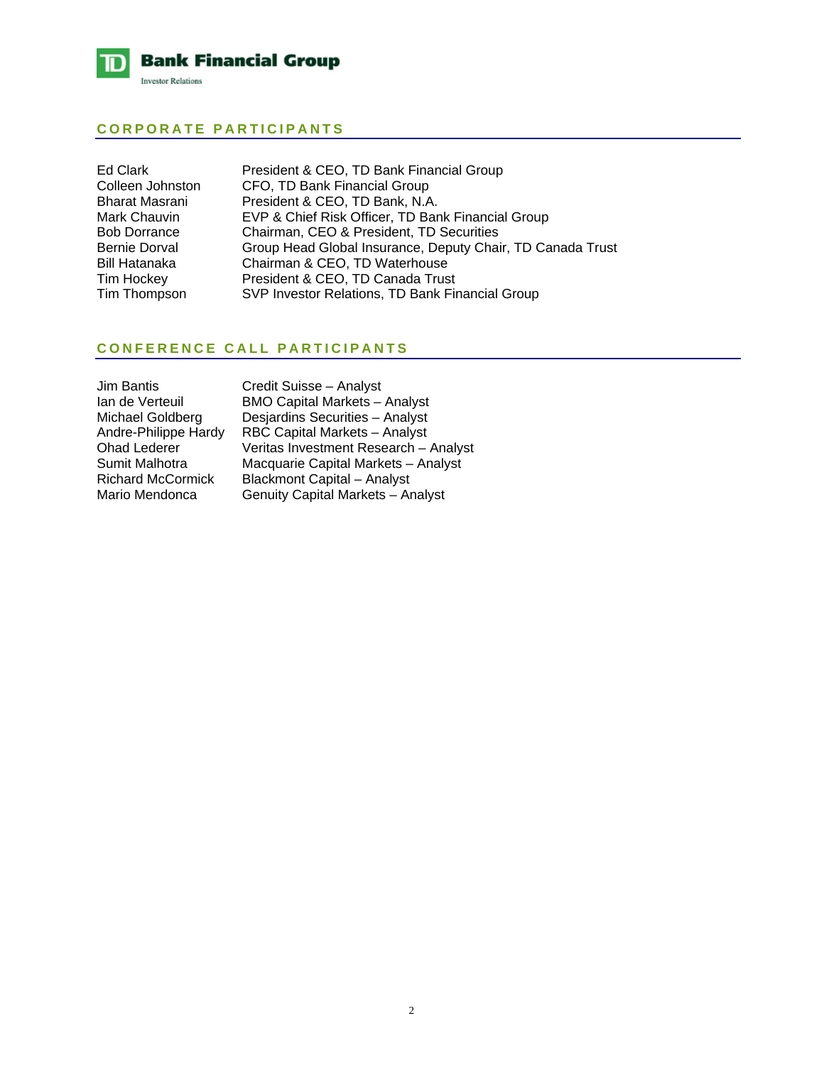

# **CORPORATE PARTICIPANTS**

| Ed Clark            | President & CEO, TD Bank Financial Group                   |
|---------------------|------------------------------------------------------------|
| Colleen Johnston    | CFO, TD Bank Financial Group                               |
| Bharat Masrani      | President & CEO, TD Bank, N.A.                             |
| Mark Chauvin        | EVP & Chief Risk Officer, TD Bank Financial Group          |
| <b>Bob Dorrance</b> | Chairman, CEO & President, TD Securities                   |
| Bernie Dorval       | Group Head Global Insurance, Deputy Chair, TD Canada Trust |
| Bill Hatanaka       | Chairman & CEO, TD Waterhouse                              |
| Tim Hockey          | President & CEO, TD Canada Trust                           |
| Tim Thompson        | SVP Investor Relations, TD Bank Financial Group            |

# **CONFERENCE CALL PARTICIPANTS**

| Veritas Investment Research - Analyst |
|---------------------------------------|
| Macquarie Capital Markets - Analyst   |
|                                       |
|                                       |
| Genuity Capital Markets - Analyst     |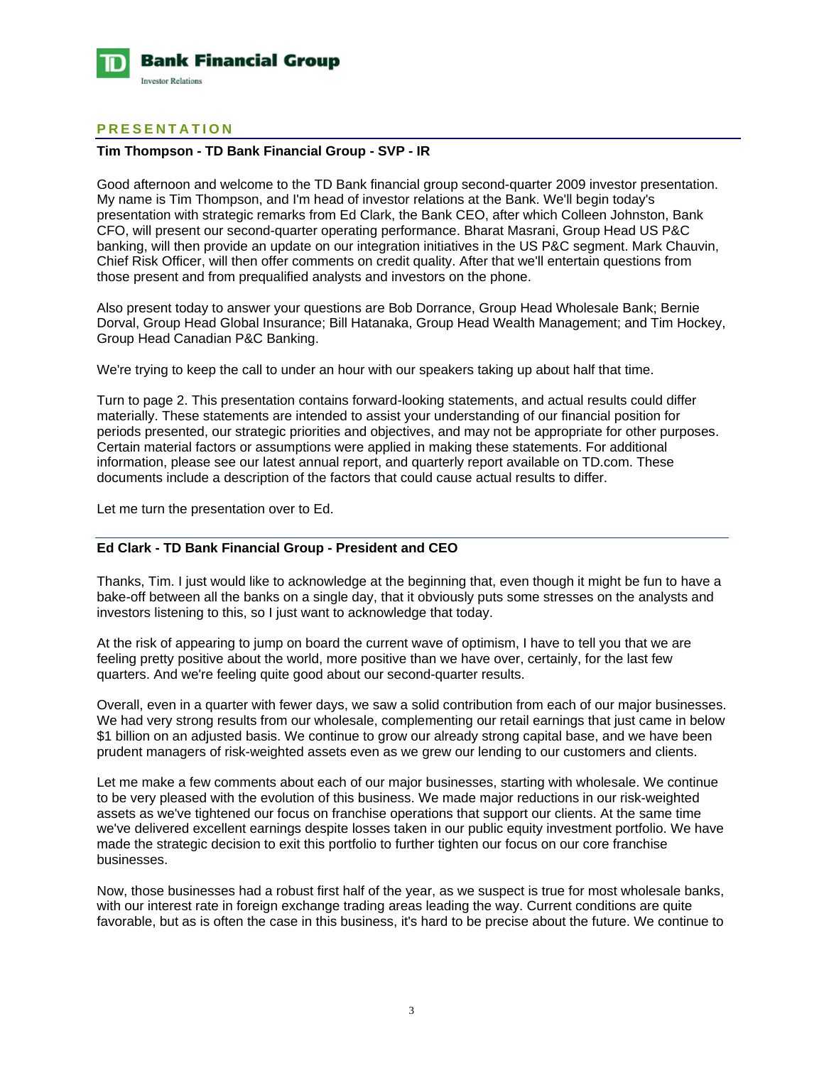

# **PRESENTATION**

## **Tim Thompson - TD Bank Financial Group - SVP - IR**

Good afternoon and welcome to the TD Bank financial group second-quarter 2009 investor presentation. My name is Tim Thompson, and I'm head of investor relations at the Bank. We'll begin today's presentation with strategic remarks from Ed Clark, the Bank CEO, after which Colleen Johnston, Bank CFO, will present our second-quarter operating performance. Bharat Masrani, Group Head US P&C banking, will then provide an update on our integration initiatives in the US P&C segment. Mark Chauvin, Chief Risk Officer, will then offer comments on credit quality. After that we'll entertain questions from those present and from prequalified analysts and investors on the phone.

Also present today to answer your questions are Bob Dorrance, Group Head Wholesale Bank; Bernie Dorval, Group Head Global Insurance; Bill Hatanaka, Group Head Wealth Management; and Tim Hockey, Group Head Canadian P&C Banking.

We're trying to keep the call to under an hour with our speakers taking up about half that time.

Turn to page 2. This presentation contains forward-looking statements, and actual results could differ materially. These statements are intended to assist your understanding of our financial position for periods presented, our strategic priorities and objectives, and may not be appropriate for other purposes. Certain material factors or assumptions were applied in making these statements. For additional information, please see our latest annual report, and quarterly report available on TD.com. These documents include a description of the factors that could cause actual results to differ.

Let me turn the presentation over to Ed.

# **Ed Clark - TD Bank Financial Group - President and CEO**

Thanks, Tim. I just would like to acknowledge at the beginning that, even though it might be fun to have a bake-off between all the banks on a single day, that it obviously puts some stresses on the analysts and investors listening to this, so I just want to acknowledge that today.

At the risk of appearing to jump on board the current wave of optimism, I have to tell you that we are feeling pretty positive about the world, more positive than we have over, certainly, for the last few quarters. And we're feeling quite good about our second-quarter results.

Overall, even in a quarter with fewer days, we saw a solid contribution from each of our major businesses. We had very strong results from our wholesale, complementing our retail earnings that just came in below \$1 billion on an adjusted basis. We continue to grow our already strong capital base, and we have been prudent managers of risk-weighted assets even as we grew our lending to our customers and clients.

Let me make a few comments about each of our major businesses, starting with wholesale. We continue to be very pleased with the evolution of this business. We made major reductions in our risk-weighted assets as we've tightened our focus on franchise operations that support our clients. At the same time we've delivered excellent earnings despite losses taken in our public equity investment portfolio. We have made the strategic decision to exit this portfolio to further tighten our focus on our core franchise businesses.

Now, those businesses had a robust first half of the year, as we suspect is true for most wholesale banks, with our interest rate in foreign exchange trading areas leading the way. Current conditions are quite favorable, but as is often the case in this business, it's hard to be precise about the future. We continue to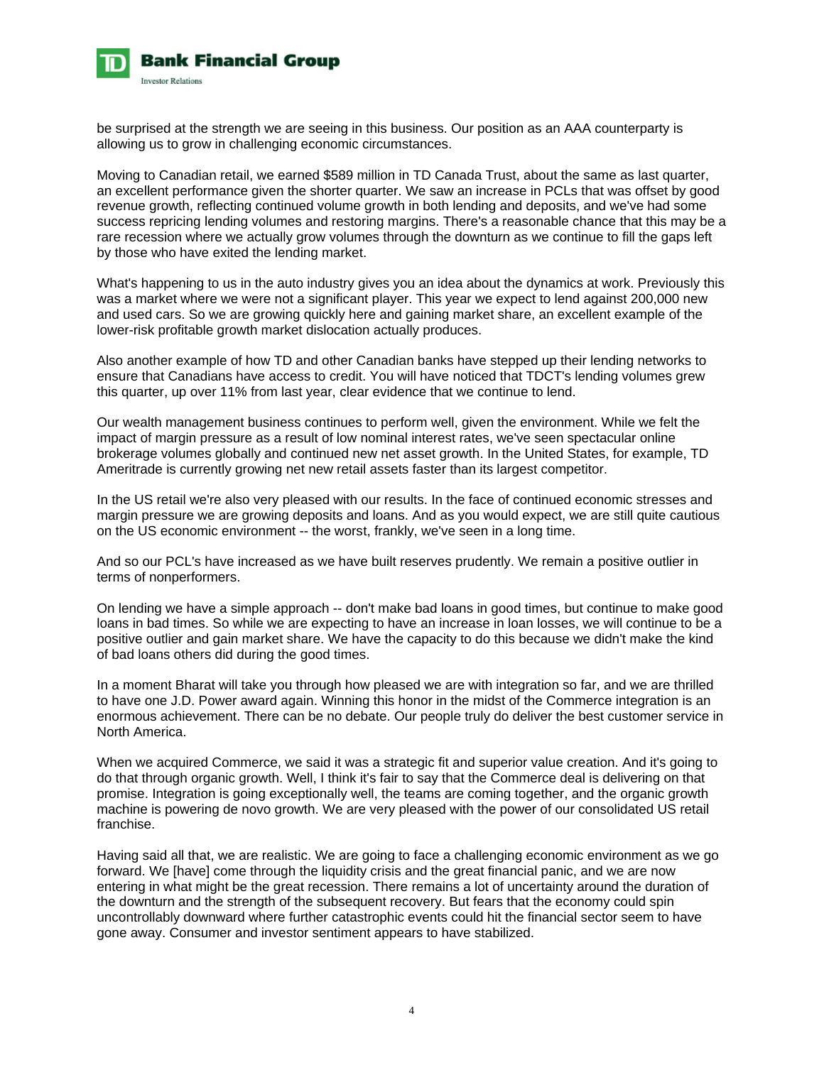

be surprised at the strength we are seeing in this business. Our position as an AAA counterparty is allowing us to grow in challenging economic circumstances.

Moving to Canadian retail, we earned \$589 million in TD Canada Trust, about the same as last quarter, an excellent performance given the shorter quarter. We saw an increase in PCLs that was offset by good revenue growth, reflecting continued volume growth in both lending and deposits, and we've had some success repricing lending volumes and restoring margins. There's a reasonable chance that this may be a rare recession where we actually grow volumes through the downturn as we continue to fill the gaps left by those who have exited the lending market.

What's happening to us in the auto industry gives you an idea about the dynamics at work. Previously this was a market where we were not a significant player. This year we expect to lend against 200,000 new and used cars. So we are growing quickly here and gaining market share, an excellent example of the lower-risk profitable growth market dislocation actually produces.

Also another example of how TD and other Canadian banks have stepped up their lending networks to ensure that Canadians have access to credit. You will have noticed that TDCT's lending volumes grew this quarter, up over 11% from last year, clear evidence that we continue to lend.

Our wealth management business continues to perform well, given the environment. While we felt the impact of margin pressure as a result of low nominal interest rates, we've seen spectacular online brokerage volumes globally and continued new net asset growth. In the United States, for example, TD Ameritrade is currently growing net new retail assets faster than its largest competitor.

In the US retail we're also very pleased with our results. In the face of continued economic stresses and margin pressure we are growing deposits and loans. And as you would expect, we are still quite cautious on the US economic environment -- the worst, frankly, we've seen in a long time.

And so our PCL's have increased as we have built reserves prudently. We remain a positive outlier in terms of nonperformers.

On lending we have a simple approach -- don't make bad loans in good times, but continue to make good loans in bad times. So while we are expecting to have an increase in loan losses, we will continue to be a positive outlier and gain market share. We have the capacity to do this because we didn't make the kind of bad loans others did during the good times.

In a moment Bharat will take you through how pleased we are with integration so far, and we are thrilled to have one J.D. Power award again. Winning this honor in the midst of the Commerce integration is an enormous achievement. There can be no debate. Our people truly do deliver the best customer service in North America.

When we acquired Commerce, we said it was a strategic fit and superior value creation. And it's going to do that through organic growth. Well, I think it's fair to say that the Commerce deal is delivering on that promise. Integration is going exceptionally well, the teams are coming together, and the organic growth machine is powering de novo growth. We are very pleased with the power of our consolidated US retail franchise.

Having said all that, we are realistic. We are going to face a challenging economic environment as we go forward. We [have] come through the liquidity crisis and the great financial panic, and we are now entering in what might be the great recession. There remains a lot of uncertainty around the duration of the downturn and the strength of the subsequent recovery. But fears that the economy could spin uncontrollably downward where further catastrophic events could hit the financial sector seem to have gone away. Consumer and investor sentiment appears to have stabilized.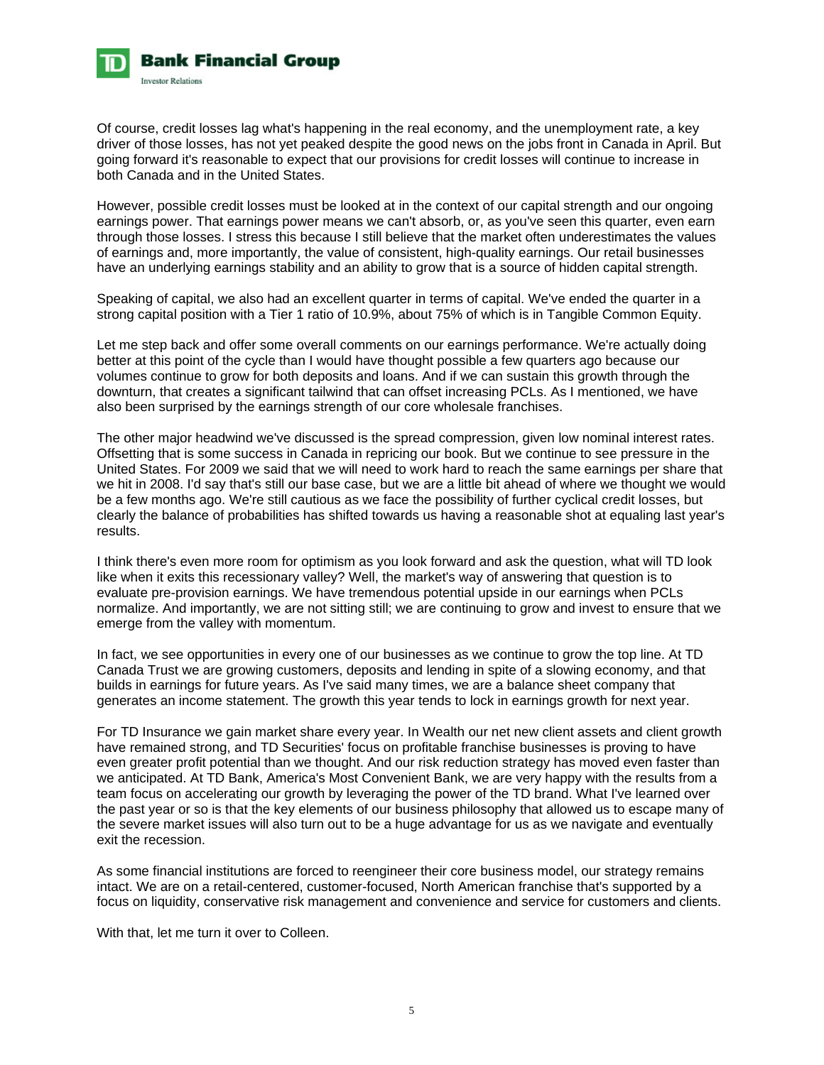

Of course, credit losses lag what's happening in the real economy, and the unemployment rate, a key driver of those losses, has not yet peaked despite the good news on the jobs front in Canada in April. But going forward it's reasonable to expect that our provisions for credit losses will continue to increase in both Canada and in the United States.

However, possible credit losses must be looked at in the context of our capital strength and our ongoing earnings power. That earnings power means we can't absorb, or, as you've seen this quarter, even earn through those losses. I stress this because I still believe that the market often underestimates the values of earnings and, more importantly, the value of consistent, high-quality earnings. Our retail businesses have an underlying earnings stability and an ability to grow that is a source of hidden capital strength.

Speaking of capital, we also had an excellent quarter in terms of capital. We've ended the quarter in a strong capital position with a Tier 1 ratio of 10.9%, about 75% of which is in Tangible Common Equity.

Let me step back and offer some overall comments on our earnings performance. We're actually doing better at this point of the cycle than I would have thought possible a few quarters ago because our volumes continue to grow for both deposits and loans. And if we can sustain this growth through the downturn, that creates a significant tailwind that can offset increasing PCLs. As I mentioned, we have also been surprised by the earnings strength of our core wholesale franchises.

The other major headwind we've discussed is the spread compression, given low nominal interest rates. Offsetting that is some success in Canada in repricing our book. But we continue to see pressure in the United States. For 2009 we said that we will need to work hard to reach the same earnings per share that we hit in 2008. I'd say that's still our base case, but we are a little bit ahead of where we thought we would be a few months ago. We're still cautious as we face the possibility of further cyclical credit losses, but clearly the balance of probabilities has shifted towards us having a reasonable shot at equaling last year's results.

I think there's even more room for optimism as you look forward and ask the question, what will TD look like when it exits this recessionary valley? Well, the market's way of answering that question is to evaluate pre-provision earnings. We have tremendous potential upside in our earnings when PCLs normalize. And importantly, we are not sitting still; we are continuing to grow and invest to ensure that we emerge from the valley with momentum.

In fact, we see opportunities in every one of our businesses as we continue to grow the top line. At TD Canada Trust we are growing customers, deposits and lending in spite of a slowing economy, and that builds in earnings for future years. As I've said many times, we are a balance sheet company that generates an income statement. The growth this year tends to lock in earnings growth for next year.

For TD Insurance we gain market share every year. In Wealth our net new client assets and client growth have remained strong, and TD Securities' focus on profitable franchise businesses is proving to have even greater profit potential than we thought. And our risk reduction strategy has moved even faster than we anticipated. At TD Bank, America's Most Convenient Bank, we are very happy with the results from a team focus on accelerating our growth by leveraging the power of the TD brand. What I've learned over the past year or so is that the key elements of our business philosophy that allowed us to escape many of the severe market issues will also turn out to be a huge advantage for us as we navigate and eventually exit the recession.

As some financial institutions are forced to reengineer their core business model, our strategy remains intact. We are on a retail-centered, customer-focused, North American franchise that's supported by a focus on liquidity, conservative risk management and convenience and service for customers and clients.

With that, let me turn it over to Colleen.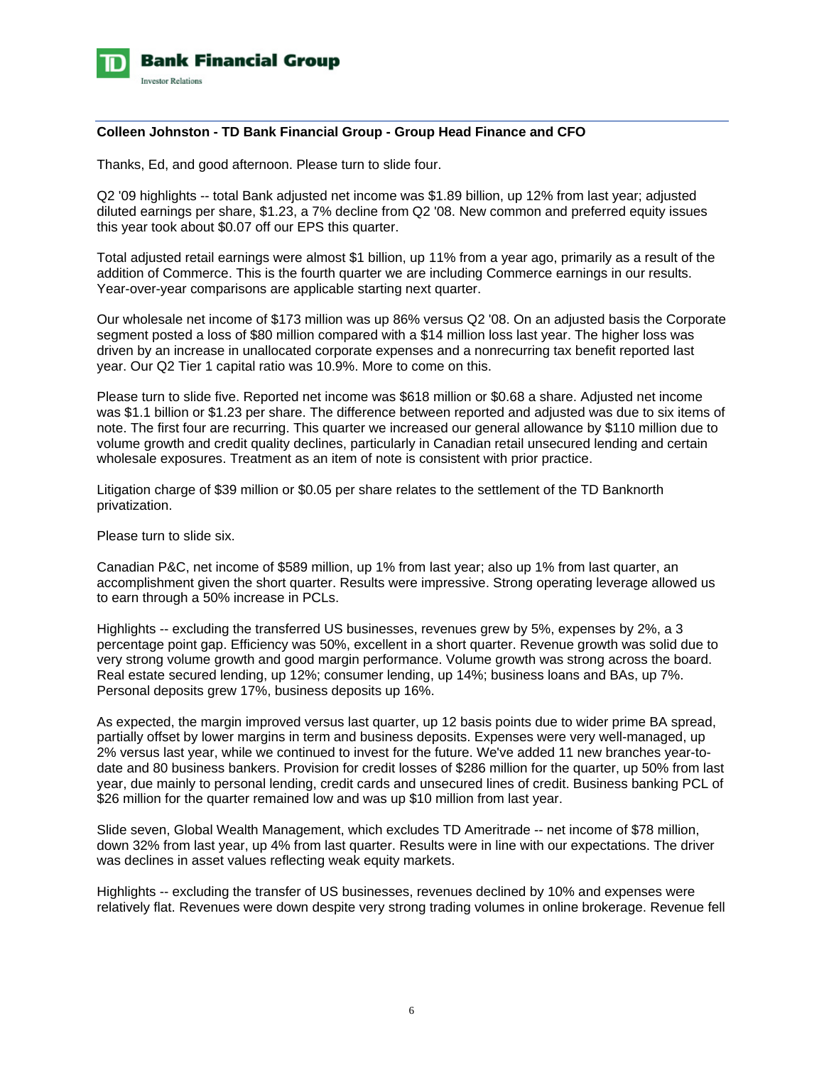

## **Colleen Johnston - TD Bank Financial Group - Group Head Finance and CFO**

Thanks, Ed, and good afternoon. Please turn to slide four.

Q2 '09 highlights -- total Bank adjusted net income was \$1.89 billion, up 12% from last year; adjusted diluted earnings per share, \$1.23, a 7% decline from Q2 '08. New common and preferred equity issues this year took about \$0.07 off our EPS this quarter.

Total adjusted retail earnings were almost \$1 billion, up 11% from a year ago, primarily as a result of the addition of Commerce. This is the fourth quarter we are including Commerce earnings in our results. Year-over-year comparisons are applicable starting next quarter.

Our wholesale net income of \$173 million was up 86% versus Q2 '08. On an adjusted basis the Corporate segment posted a loss of \$80 million compared with a \$14 million loss last year. The higher loss was driven by an increase in unallocated corporate expenses and a nonrecurring tax benefit reported last year. Our Q2 Tier 1 capital ratio was 10.9%. More to come on this.

Please turn to slide five. Reported net income was \$618 million or \$0.68 a share. Adjusted net income was \$1.1 billion or \$1.23 per share. The difference between reported and adjusted was due to six items of note. The first four are recurring. This quarter we increased our general allowance by \$110 million due to volume growth and credit quality declines, particularly in Canadian retail unsecured lending and certain wholesale exposures. Treatment as an item of note is consistent with prior practice.

Litigation charge of \$39 million or \$0.05 per share relates to the settlement of the TD Banknorth privatization.

Please turn to slide six.

Canadian P&C, net income of \$589 million, up 1% from last year; also up 1% from last quarter, an accomplishment given the short quarter. Results were impressive. Strong operating leverage allowed us to earn through a 50% increase in PCLs.

Highlights -- excluding the transferred US businesses, revenues grew by 5%, expenses by 2%, a 3 percentage point gap. Efficiency was 50%, excellent in a short quarter. Revenue growth was solid due to very strong volume growth and good margin performance. Volume growth was strong across the board. Real estate secured lending, up 12%; consumer lending, up 14%; business loans and BAs, up 7%. Personal deposits grew 17%, business deposits up 16%.

As expected, the margin improved versus last quarter, up 12 basis points due to wider prime BA spread, partially offset by lower margins in term and business deposits. Expenses were very well-managed, up 2% versus last year, while we continued to invest for the future. We've added 11 new branches year-todate and 80 business bankers. Provision for credit losses of \$286 million for the quarter, up 50% from last year, due mainly to personal lending, credit cards and unsecured lines of credit. Business banking PCL of \$26 million for the quarter remained low and was up \$10 million from last year.

Slide seven, Global Wealth Management, which excludes TD Ameritrade -- net income of \$78 million, down 32% from last year, up 4% from last quarter. Results were in line with our expectations. The driver was declines in asset values reflecting weak equity markets.

Highlights -- excluding the transfer of US businesses, revenues declined by 10% and expenses were relatively flat. Revenues were down despite very strong trading volumes in online brokerage. Revenue fell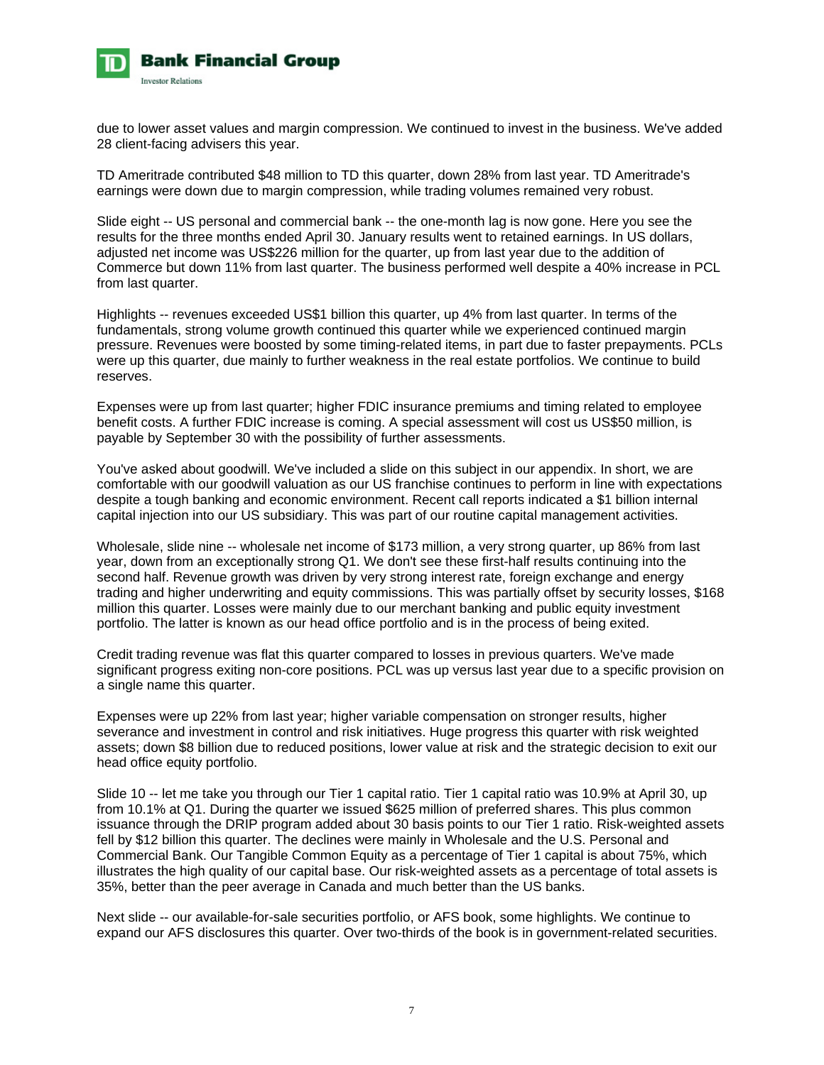

due to lower asset values and margin compression. We continued to invest in the business. We've added 28 client-facing advisers this year.

TD Ameritrade contributed \$48 million to TD this quarter, down 28% from last year. TD Ameritrade's earnings were down due to margin compression, while trading volumes remained very robust.

Slide eight -- US personal and commercial bank -- the one-month lag is now gone. Here you see the results for the three months ended April 30. January results went to retained earnings. In US dollars, adjusted net income was US\$226 million for the quarter, up from last year due to the addition of Commerce but down 11% from last quarter. The business performed well despite a 40% increase in PCL from last quarter.

Highlights -- revenues exceeded US\$1 billion this quarter, up 4% from last quarter. In terms of the fundamentals, strong volume growth continued this quarter while we experienced continued margin pressure. Revenues were boosted by some timing-related items, in part due to faster prepayments. PCLs were up this quarter, due mainly to further weakness in the real estate portfolios. We continue to build reserves.

Expenses were up from last quarter; higher FDIC insurance premiums and timing related to employee benefit costs. A further FDIC increase is coming. A special assessment will cost us US\$50 million, is payable by September 30 with the possibility of further assessments.

You've asked about goodwill. We've included a slide on this subject in our appendix. In short, we are comfortable with our goodwill valuation as our US franchise continues to perform in line with expectations despite a tough banking and economic environment. Recent call reports indicated a \$1 billion internal capital injection into our US subsidiary. This was part of our routine capital management activities.

Wholesale, slide nine -- wholesale net income of \$173 million, a very strong quarter, up 86% from last year, down from an exceptionally strong Q1. We don't see these first-half results continuing into the second half. Revenue growth was driven by very strong interest rate, foreign exchange and energy trading and higher underwriting and equity commissions. This was partially offset by security losses, \$168 million this quarter. Losses were mainly due to our merchant banking and public equity investment portfolio. The latter is known as our head office portfolio and is in the process of being exited.

Credit trading revenue was flat this quarter compared to losses in previous quarters. We've made significant progress exiting non-core positions. PCL was up versus last year due to a specific provision on a single name this quarter.

Expenses were up 22% from last year; higher variable compensation on stronger results, higher severance and investment in control and risk initiatives. Huge progress this quarter with risk weighted assets; down \$8 billion due to reduced positions, lower value at risk and the strategic decision to exit our head office equity portfolio.

Slide 10 -- let me take you through our Tier 1 capital ratio. Tier 1 capital ratio was 10.9% at April 30, up from 10.1% at Q1. During the quarter we issued \$625 million of preferred shares. This plus common issuance through the DRIP program added about 30 basis points to our Tier 1 ratio. Risk-weighted assets fell by \$12 billion this quarter. The declines were mainly in Wholesale and the U.S. Personal and Commercial Bank. Our Tangible Common Equity as a percentage of Tier 1 capital is about 75%, which illustrates the high quality of our capital base. Our risk-weighted assets as a percentage of total assets is 35%, better than the peer average in Canada and much better than the US banks.

Next slide -- our available-for-sale securities portfolio, or AFS book, some highlights. We continue to expand our AFS disclosures this quarter. Over two-thirds of the book is in government-related securities.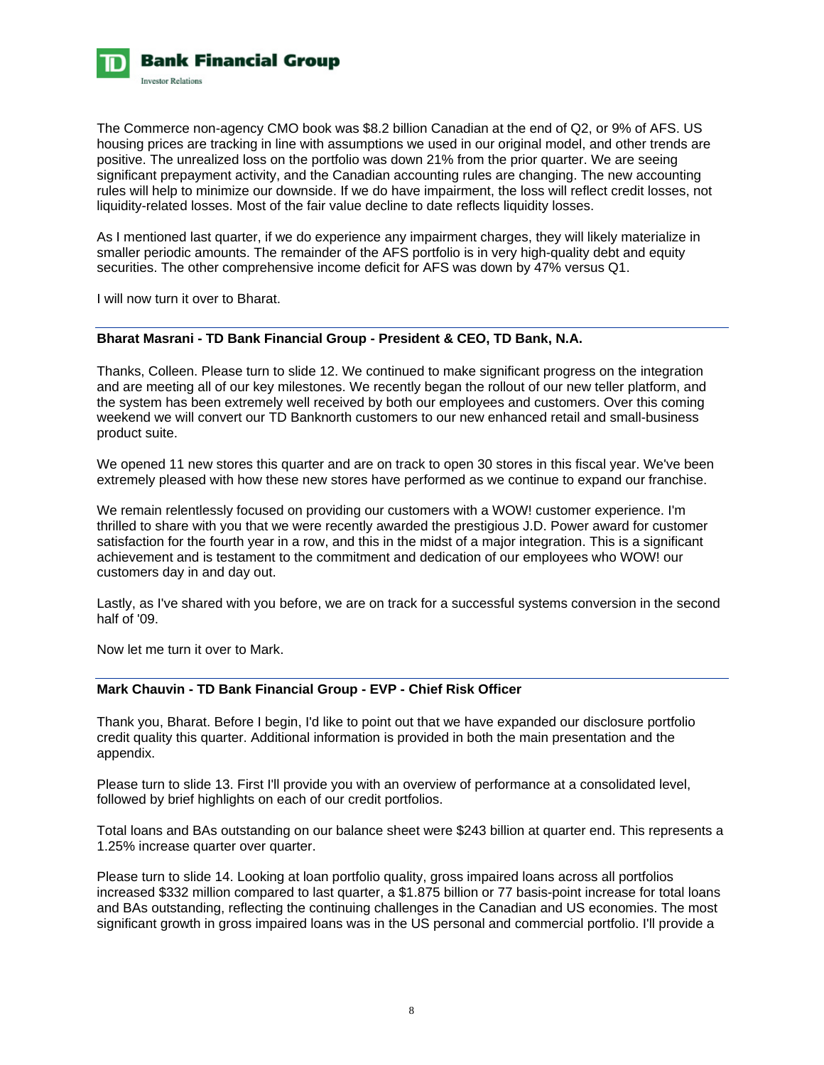

The Commerce non-agency CMO book was \$8.2 billion Canadian at the end of Q2, or 9% of AFS. US housing prices are tracking in line with assumptions we used in our original model, and other trends are positive. The unrealized loss on the portfolio was down 21% from the prior quarter. We are seeing significant prepayment activity, and the Canadian accounting rules are changing. The new accounting rules will help to minimize our downside. If we do have impairment, the loss will reflect credit losses, not liquidity-related losses. Most of the fair value decline to date reflects liquidity losses.

As I mentioned last quarter, if we do experience any impairment charges, they will likely materialize in smaller periodic amounts. The remainder of the AFS portfolio is in very high-quality debt and equity securities. The other comprehensive income deficit for AFS was down by 47% versus Q1.

I will now turn it over to Bharat.

## **Bharat Masrani - TD Bank Financial Group - President & CEO, TD Bank, N.A.**

Thanks, Colleen. Please turn to slide 12. We continued to make significant progress on the integration and are meeting all of our key milestones. We recently began the rollout of our new teller platform, and the system has been extremely well received by both our employees and customers. Over this coming weekend we will convert our TD Banknorth customers to our new enhanced retail and small-business product suite.

We opened 11 new stores this quarter and are on track to open 30 stores in this fiscal year. We've been extremely pleased with how these new stores have performed as we continue to expand our franchise.

We remain relentlessly focused on providing our customers with a WOW! customer experience. I'm thrilled to share with you that we were recently awarded the prestigious J.D. Power award for customer satisfaction for the fourth year in a row, and this in the midst of a major integration. This is a significant achievement and is testament to the commitment and dedication of our employees who WOW! our customers day in and day out.

Lastly, as I've shared with you before, we are on track for a successful systems conversion in the second half of '09.

Now let me turn it over to Mark.

## **Mark Chauvin - TD Bank Financial Group - EVP - Chief Risk Officer**

Thank you, Bharat. Before I begin, I'd like to point out that we have expanded our disclosure portfolio credit quality this quarter. Additional information is provided in both the main presentation and the appendix.

Please turn to slide 13. First I'll provide you with an overview of performance at a consolidated level, followed by brief highlights on each of our credit portfolios.

Total loans and BAs outstanding on our balance sheet were \$243 billion at quarter end. This represents a 1.25% increase quarter over quarter.

Please turn to slide 14. Looking at loan portfolio quality, gross impaired loans across all portfolios increased \$332 million compared to last quarter, a \$1.875 billion or 77 basis-point increase for total loans and BAs outstanding, reflecting the continuing challenges in the Canadian and US economies. The most significant growth in gross impaired loans was in the US personal and commercial portfolio. I'll provide a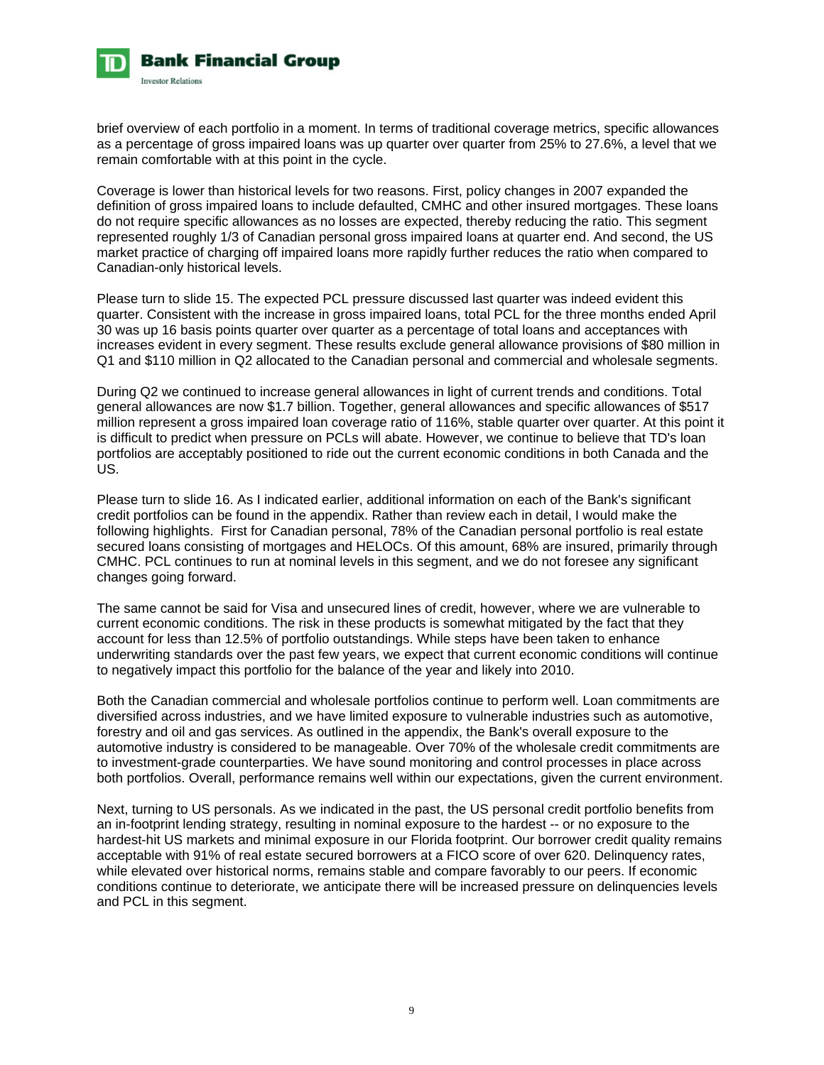

brief overview of each portfolio in a moment. In terms of traditional coverage metrics, specific allowances as a percentage of gross impaired loans was up quarter over quarter from 25% to 27.6%, a level that we remain comfortable with at this point in the cycle.

Coverage is lower than historical levels for two reasons. First, policy changes in 2007 expanded the definition of gross impaired loans to include defaulted, CMHC and other insured mortgages. These loans do not require specific allowances as no losses are expected, thereby reducing the ratio. This segment represented roughly 1/3 of Canadian personal gross impaired loans at quarter end. And second, the US market practice of charging off impaired loans more rapidly further reduces the ratio when compared to Canadian-only historical levels.

Please turn to slide 15. The expected PCL pressure discussed last quarter was indeed evident this quarter. Consistent with the increase in gross impaired loans, total PCL for the three months ended April 30 was up 16 basis points quarter over quarter as a percentage of total loans and acceptances with increases evident in every segment. These results exclude general allowance provisions of \$80 million in Q1 and \$110 million in Q2 allocated to the Canadian personal and commercial and wholesale segments.

During Q2 we continued to increase general allowances in light of current trends and conditions. Total general allowances are now \$1.7 billion. Together, general allowances and specific allowances of \$517 million represent a gross impaired loan coverage ratio of 116%, stable quarter over quarter. At this point it is difficult to predict when pressure on PCLs will abate. However, we continue to believe that TD's loan portfolios are acceptably positioned to ride out the current economic conditions in both Canada and the US.

Please turn to slide 16. As I indicated earlier, additional information on each of the Bank's significant credit portfolios can be found in the appendix. Rather than review each in detail, I would make the following highlights. First for Canadian personal, 78% of the Canadian personal portfolio is real estate secured loans consisting of mortgages and HELOCs. Of this amount, 68% are insured, primarily through CMHC. PCL continues to run at nominal levels in this segment, and we do not foresee any significant changes going forward.

The same cannot be said for Visa and unsecured lines of credit, however, where we are vulnerable to current economic conditions. The risk in these products is somewhat mitigated by the fact that they account for less than 12.5% of portfolio outstandings. While steps have been taken to enhance underwriting standards over the past few years, we expect that current economic conditions will continue to negatively impact this portfolio for the balance of the year and likely into 2010.

Both the Canadian commercial and wholesale portfolios continue to perform well. Loan commitments are diversified across industries, and we have limited exposure to vulnerable industries such as automotive, forestry and oil and gas services. As outlined in the appendix, the Bank's overall exposure to the automotive industry is considered to be manageable. Over 70% of the wholesale credit commitments are to investment-grade counterparties. We have sound monitoring and control processes in place across both portfolios. Overall, performance remains well within our expectations, given the current environment.

Next, turning to US personals. As we indicated in the past, the US personal credit portfolio benefits from an in-footprint lending strategy, resulting in nominal exposure to the hardest -- or no exposure to the hardest-hit US markets and minimal exposure in our Florida footprint. Our borrower credit quality remains acceptable with 91% of real estate secured borrowers at a FICO score of over 620. Delinquency rates, while elevated over historical norms, remains stable and compare favorably to our peers. If economic conditions continue to deteriorate, we anticipate there will be increased pressure on delinquencies levels and PCL in this segment.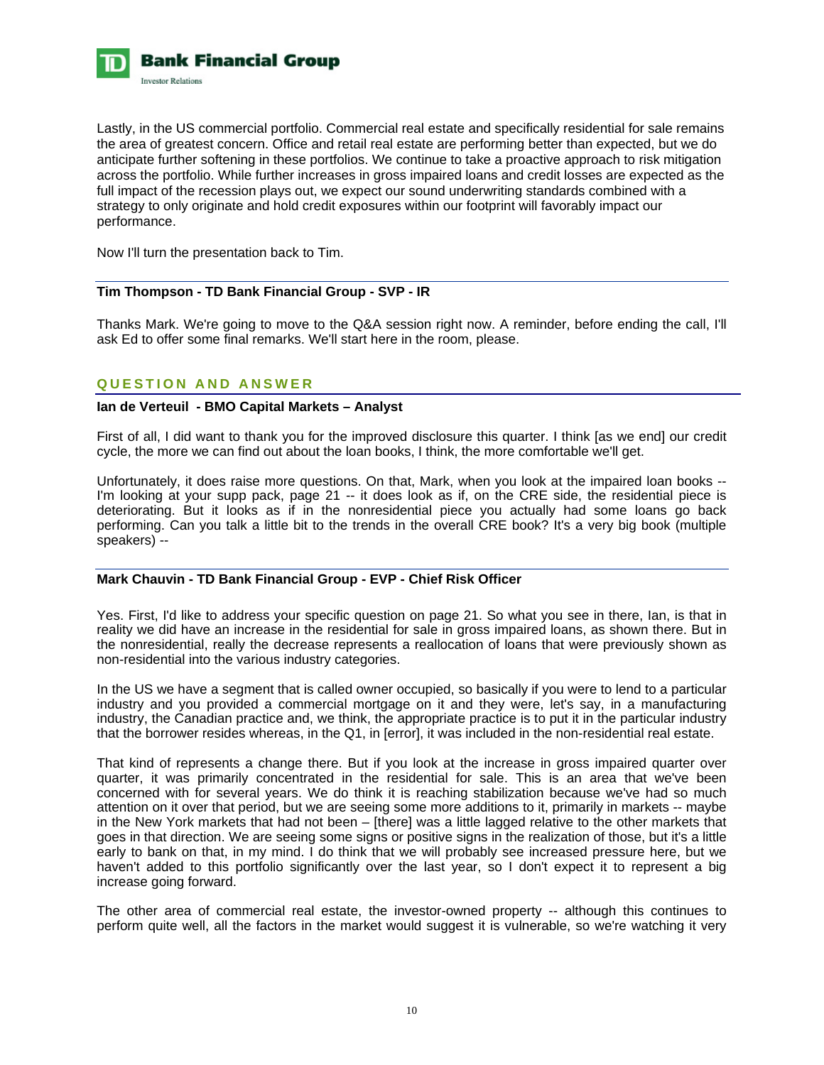

Lastly, in the US commercial portfolio. Commercial real estate and specifically residential for sale remains the area of greatest concern. Office and retail real estate are performing better than expected, but we do anticipate further softening in these portfolios. We continue to take a proactive approach to risk mitigation across the portfolio. While further increases in gross impaired loans and credit losses are expected as the full impact of the recession plays out, we expect our sound underwriting standards combined with a strategy to only originate and hold credit exposures within our footprint will favorably impact our performance.

Now I'll turn the presentation back to Tim.

## **Tim Thompson - TD Bank Financial Group - SVP - IR**

Thanks Mark. We're going to move to the Q&A session right now. A reminder, before ending the call, I'll ask Ed to offer some final remarks. We'll start here in the room, please.

# **QUESTION AND ANSWER**

# **Ian de Verteuil - BMO Capital Markets – Analyst**

First of all, I did want to thank you for the improved disclosure this quarter. I think [as we end] our credit cycle, the more we can find out about the loan books, I think, the more comfortable we'll get.

Unfortunately, it does raise more questions. On that, Mark, when you look at the impaired loan books -- I'm looking at your supp pack, page 21 -- it does look as if, on the CRE side, the residential piece is deteriorating. But it looks as if in the nonresidential piece you actually had some loans go back performing. Can you talk a little bit to the trends in the overall CRE book? It's a very big book (multiple speakers) --

#### **Mark Chauvin - TD Bank Financial Group - EVP - Chief Risk Officer**

Yes. First, I'd like to address your specific question on page 21. So what you see in there, Ian, is that in reality we did have an increase in the residential for sale in gross impaired loans, as shown there. But in the nonresidential, really the decrease represents a reallocation of loans that were previously shown as non-residential into the various industry categories.

In the US we have a segment that is called owner occupied, so basically if you were to lend to a particular industry and you provided a commercial mortgage on it and they were, let's say, in a manufacturing industry, the Canadian practice and, we think, the appropriate practice is to put it in the particular industry that the borrower resides whereas, in the Q1, in [error], it was included in the non-residential real estate.

That kind of represents a change there. But if you look at the increase in gross impaired quarter over quarter, it was primarily concentrated in the residential for sale. This is an area that we've been concerned with for several years. We do think it is reaching stabilization because we've had so much attention on it over that period, but we are seeing some more additions to it, primarily in markets -- maybe in the New York markets that had not been – [there] was a little lagged relative to the other markets that goes in that direction. We are seeing some signs or positive signs in the realization of those, but it's a little early to bank on that, in my mind. I do think that we will probably see increased pressure here, but we haven't added to this portfolio significantly over the last year, so I don't expect it to represent a big increase going forward.

The other area of commercial real estate, the investor-owned property -- although this continues to perform quite well, all the factors in the market would suggest it is vulnerable, so we're watching it very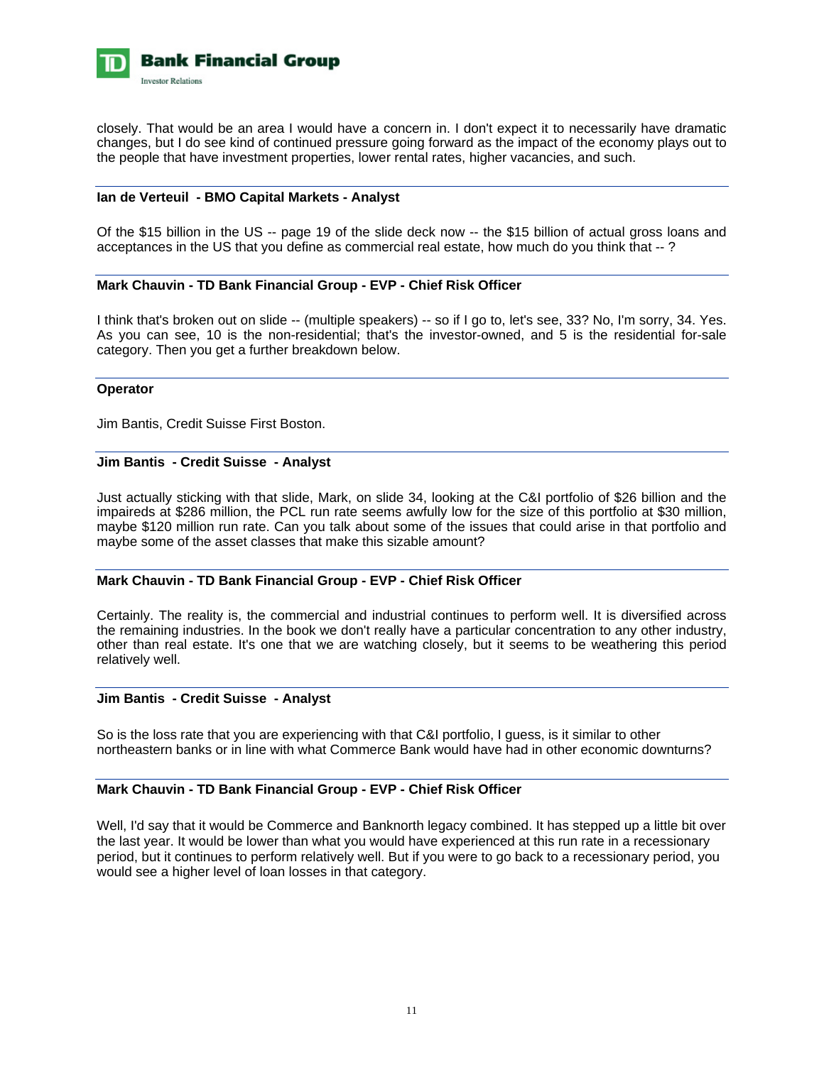

closely. That would be an area I would have a concern in. I don't expect it to necessarily have dramatic changes, but I do see kind of continued pressure going forward as the impact of the economy plays out to the people that have investment properties, lower rental rates, higher vacancies, and such.

### **Ian de Verteuil - BMO Capital Markets - Analyst**

Of the \$15 billion in the US -- page 19 of the slide deck now -- the \$15 billion of actual gross loans and acceptances in the US that you define as commercial real estate, how much do you think that -- ?

### **Mark Chauvin - TD Bank Financial Group - EVP - Chief Risk Officer**

I think that's broken out on slide -- (multiple speakers) -- so if I go to, let's see, 33? No, I'm sorry, 34. Yes. As you can see, 10 is the non-residential; that's the investor-owned, and 5 is the residential for-sale category. Then you get a further breakdown below.

#### **Operator**

Jim Bantis, Credit Suisse First Boston.

#### **Jim Bantis - Credit Suisse - Analyst**

Just actually sticking with that slide, Mark, on slide 34, looking at the C&I portfolio of \$26 billion and the impaireds at \$286 million, the PCL run rate seems awfully low for the size of this portfolio at \$30 million, maybe \$120 million run rate. Can you talk about some of the issues that could arise in that portfolio and maybe some of the asset classes that make this sizable amount?

#### **Mark Chauvin - TD Bank Financial Group - EVP - Chief Risk Officer**

Certainly. The reality is, the commercial and industrial continues to perform well. It is diversified across the remaining industries. In the book we don't really have a particular concentration to any other industry, other than real estate. It's one that we are watching closely, but it seems to be weathering this period relatively well.

#### **Jim Bantis - Credit Suisse - Analyst**

So is the loss rate that you are experiencing with that C&I portfolio, I guess, is it similar to other northeastern banks or in line with what Commerce Bank would have had in other economic downturns?

#### **Mark Chauvin - TD Bank Financial Group - EVP - Chief Risk Officer**

Well, I'd say that it would be Commerce and Banknorth legacy combined. It has stepped up a little bit over the last year. It would be lower than what you would have experienced at this run rate in a recessionary period, but it continues to perform relatively well. But if you were to go back to a recessionary period, you would see a higher level of loan losses in that category.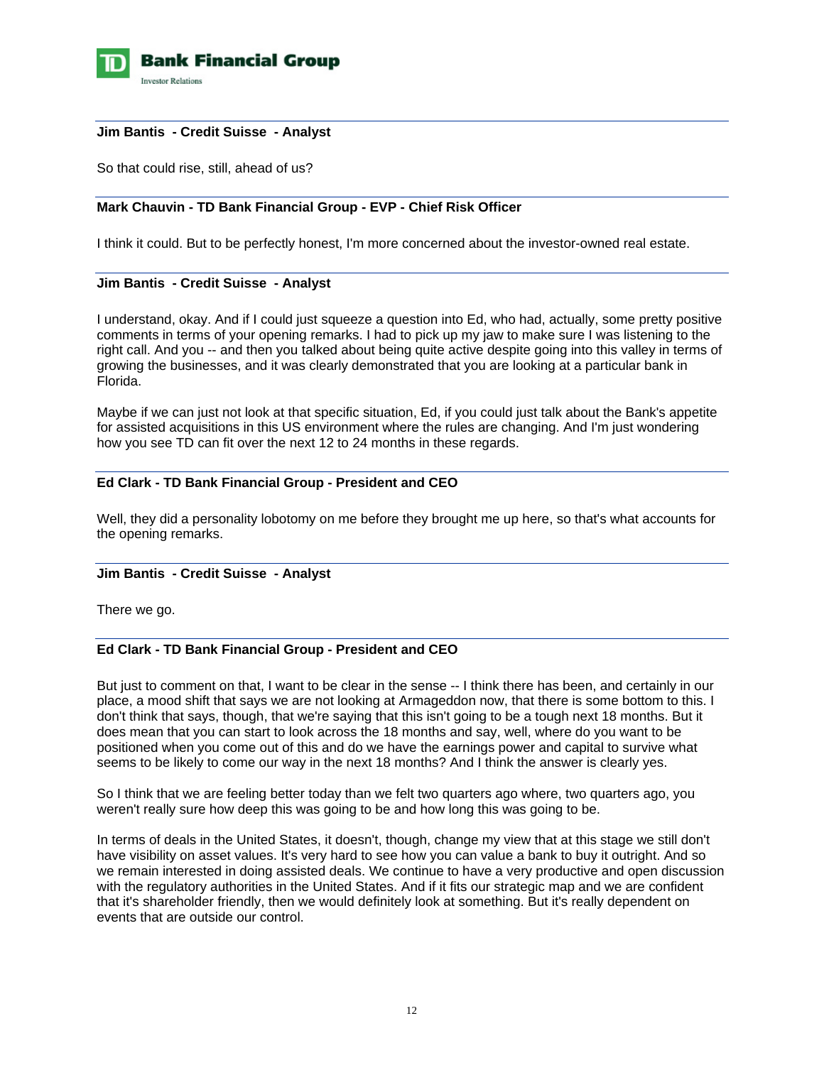

#### **Jim Bantis - Credit Suisse - Analyst**

So that could rise, still, ahead of us?

# **Mark Chauvin - TD Bank Financial Group - EVP - Chief Risk Officer**

I think it could. But to be perfectly honest, I'm more concerned about the investor-owned real estate.

## **Jim Bantis - Credit Suisse - Analyst**

I understand, okay. And if I could just squeeze a question into Ed, who had, actually, some pretty positive comments in terms of your opening remarks. I had to pick up my jaw to make sure I was listening to the right call. And you -- and then you talked about being quite active despite going into this valley in terms of growing the businesses, and it was clearly demonstrated that you are looking at a particular bank in Florida.

Maybe if we can just not look at that specific situation, Ed, if you could just talk about the Bank's appetite for assisted acquisitions in this US environment where the rules are changing. And I'm just wondering how you see TD can fit over the next 12 to 24 months in these regards.

### **Ed Clark - TD Bank Financial Group - President and CEO**

Well, they did a personality lobotomy on me before they brought me up here, so that's what accounts for the opening remarks.

#### **Jim Bantis - Credit Suisse - Analyst**

There we go.

## **Ed Clark - TD Bank Financial Group - President and CEO**

But just to comment on that, I want to be clear in the sense -- I think there has been, and certainly in our place, a mood shift that says we are not looking at Armageddon now, that there is some bottom to this. I don't think that says, though, that we're saying that this isn't going to be a tough next 18 months. But it does mean that you can start to look across the 18 months and say, well, where do you want to be positioned when you come out of this and do we have the earnings power and capital to survive what seems to be likely to come our way in the next 18 months? And I think the answer is clearly yes.

So I think that we are feeling better today than we felt two quarters ago where, two quarters ago, you weren't really sure how deep this was going to be and how long this was going to be.

In terms of deals in the United States, it doesn't, though, change my view that at this stage we still don't have visibility on asset values. It's very hard to see how you can value a bank to buy it outright. And so we remain interested in doing assisted deals. We continue to have a very productive and open discussion with the regulatory authorities in the United States. And if it fits our strategic map and we are confident that it's shareholder friendly, then we would definitely look at something. But it's really dependent on events that are outside our control.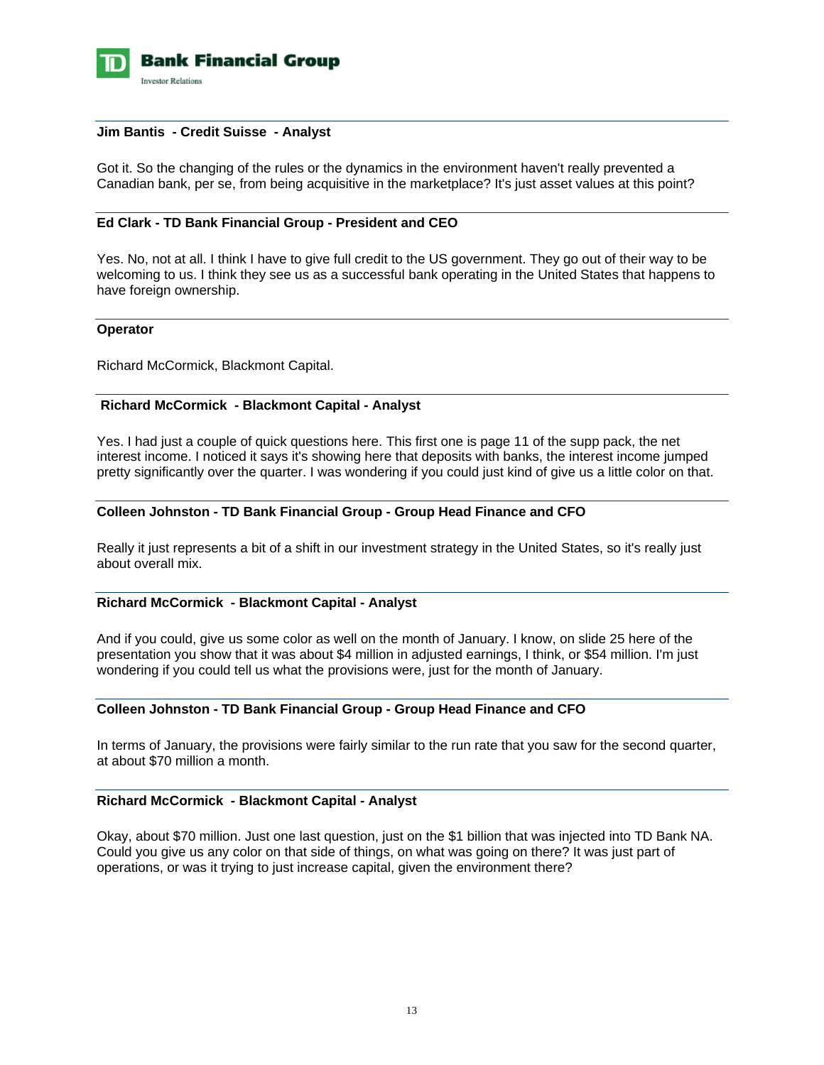

#### **Jim Bantis - Credit Suisse - Analyst**

Got it. So the changing of the rules or the dynamics in the environment haven't really prevented a Canadian bank, per se, from being acquisitive in the marketplace? It's just asset values at this point?

## **Ed Clark - TD Bank Financial Group - President and CEO**

Yes. No, not at all. I think I have to give full credit to the US government. They go out of their way to be welcoming to us. I think they see us as a successful bank operating in the United States that happens to have foreign ownership.

#### **Operator**

Richard McCormick, Blackmont Capital.

#### **Richard McCormick - Blackmont Capital - Analyst**

Yes. I had just a couple of quick questions here. This first one is page 11 of the supp pack, the net interest income. I noticed it says it's showing here that deposits with banks, the interest income jumped pretty significantly over the quarter. I was wondering if you could just kind of give us a little color on that.

#### **Colleen Johnston - TD Bank Financial Group - Group Head Finance and CFO**

Really it just represents a bit of a shift in our investment strategy in the United States, so it's really just about overall mix.

#### **Richard McCormick - Blackmont Capital - Analyst**

And if you could, give us some color as well on the month of January. I know, on slide 25 here of the presentation you show that it was about \$4 million in adjusted earnings, I think, or \$54 million. I'm just wondering if you could tell us what the provisions were, just for the month of January.

## **Colleen Johnston - TD Bank Financial Group - Group Head Finance and CFO**

In terms of January, the provisions were fairly similar to the run rate that you saw for the second quarter, at about \$70 million a month.

# **Richard McCormick - Blackmont Capital - Analyst**

Okay, about \$70 million. Just one last question, just on the \$1 billion that was injected into TD Bank NA. Could you give us any color on that side of things, on what was going on there? It was just part of operations, or was it trying to just increase capital, given the environment there?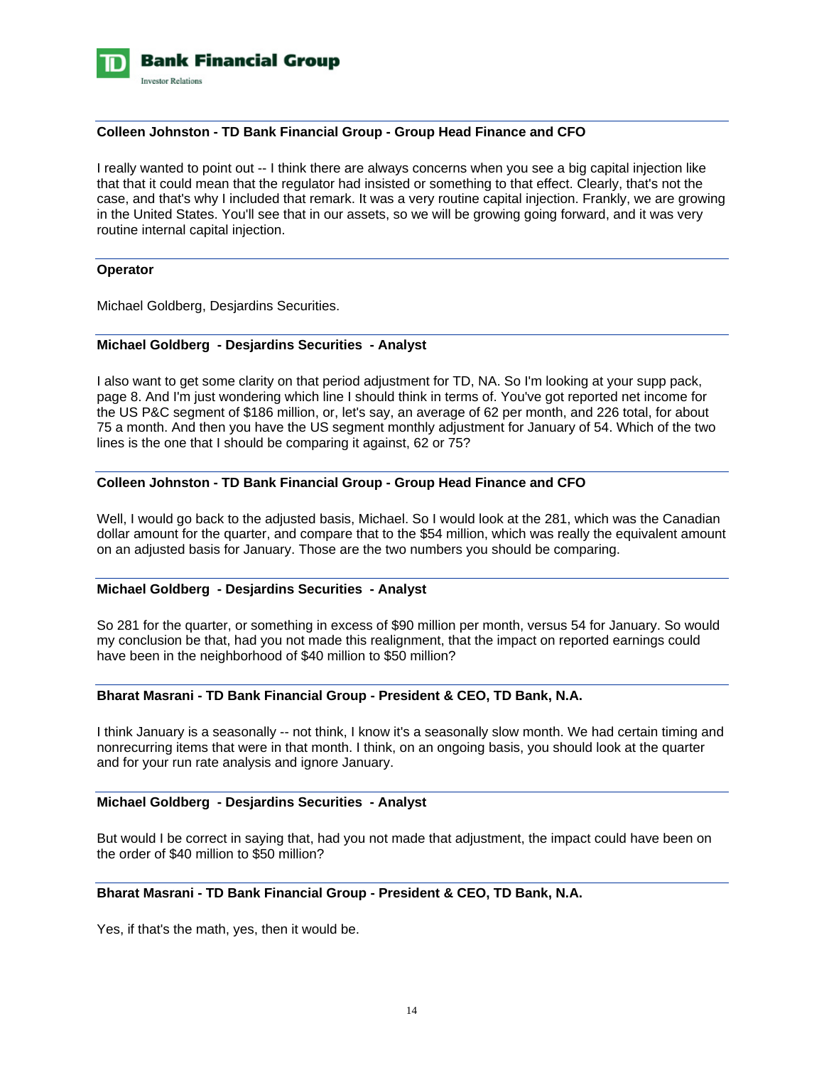

## **Colleen Johnston - TD Bank Financial Group - Group Head Finance and CFO**

I really wanted to point out -- I think there are always concerns when you see a big capital injection like that that it could mean that the regulator had insisted or something to that effect. Clearly, that's not the case, and that's why I included that remark. It was a very routine capital injection. Frankly, we are growing in the United States. You'll see that in our assets, so we will be growing going forward, and it was very routine internal capital injection.

#### **Operator**

Michael Goldberg, Desjardins Securities.

## **Michael Goldberg - Desjardins Securities - Analyst**

I also want to get some clarity on that period adjustment for TD, NA. So I'm looking at your supp pack, page 8. And I'm just wondering which line I should think in terms of. You've got reported net income for the US P&C segment of \$186 million, or, let's say, an average of 62 per month, and 226 total, for about 75 a month. And then you have the US segment monthly adjustment for January of 54. Which of the two lines is the one that I should be comparing it against, 62 or 75?

### **Colleen Johnston - TD Bank Financial Group - Group Head Finance and CFO**

Well, I would go back to the adjusted basis, Michael. So I would look at the 281, which was the Canadian dollar amount for the quarter, and compare that to the \$54 million, which was really the equivalent amount on an adjusted basis for January. Those are the two numbers you should be comparing.

### **Michael Goldberg - Desjardins Securities - Analyst**

So 281 for the quarter, or something in excess of \$90 million per month, versus 54 for January. So would my conclusion be that, had you not made this realignment, that the impact on reported earnings could have been in the neighborhood of \$40 million to \$50 million?

## **Bharat Masrani - TD Bank Financial Group - President & CEO, TD Bank, N.A.**

I think January is a seasonally -- not think, I know it's a seasonally slow month. We had certain timing and nonrecurring items that were in that month. I think, on an ongoing basis, you should look at the quarter and for your run rate analysis and ignore January.

#### **Michael Goldberg - Desjardins Securities - Analyst**

But would I be correct in saying that, had you not made that adjustment, the impact could have been on the order of \$40 million to \$50 million?

## **Bharat Masrani - TD Bank Financial Group - President & CEO, TD Bank, N.A.**

Yes, if that's the math, yes, then it would be.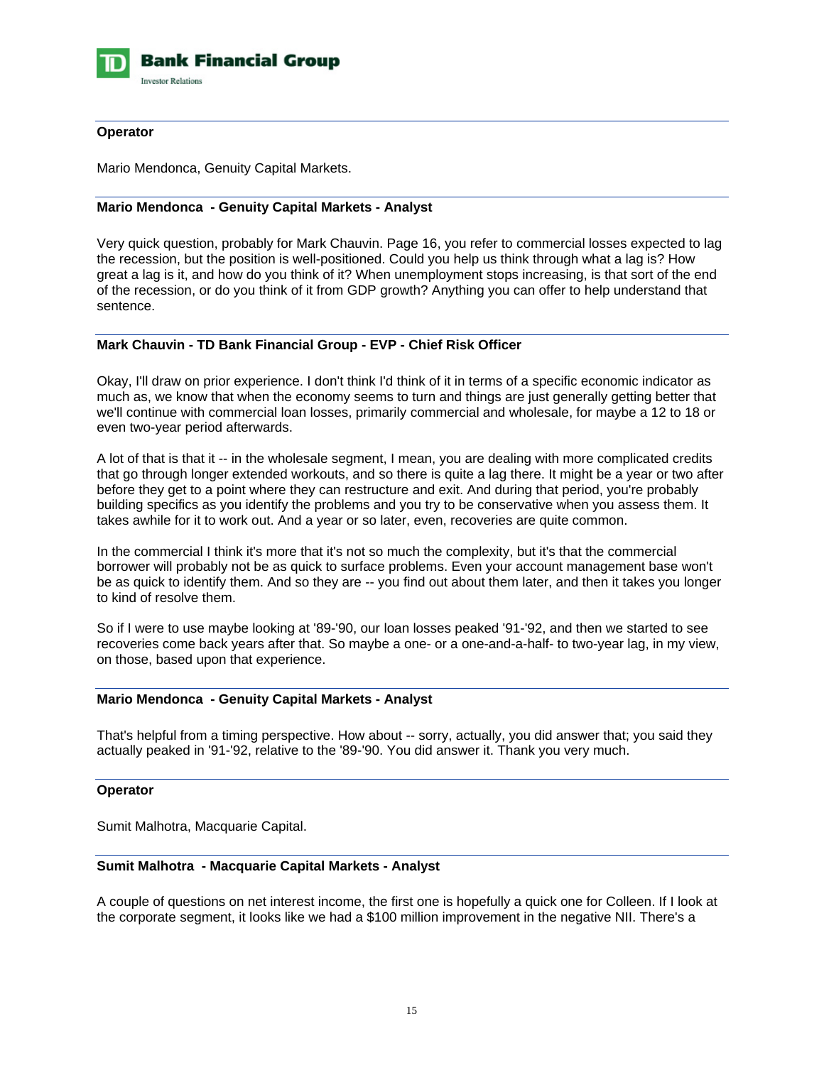

## **Operator**

Mario Mendonca, Genuity Capital Markets.

# **Mario Mendonca - Genuity Capital Markets - Analyst**

Very quick question, probably for Mark Chauvin. Page 16, you refer to commercial losses expected to lag the recession, but the position is well-positioned. Could you help us think through what a lag is? How great a lag is it, and how do you think of it? When unemployment stops increasing, is that sort of the end of the recession, or do you think of it from GDP growth? Anything you can offer to help understand that sentence.

### **Mark Chauvin - TD Bank Financial Group - EVP - Chief Risk Officer**

Okay, I'll draw on prior experience. I don't think I'd think of it in terms of a specific economic indicator as much as, we know that when the economy seems to turn and things are just generally getting better that we'll continue with commercial loan losses, primarily commercial and wholesale, for maybe a 12 to 18 or even two-year period afterwards.

A lot of that is that it -- in the wholesale segment, I mean, you are dealing with more complicated credits that go through longer extended workouts, and so there is quite a lag there. It might be a year or two after before they get to a point where they can restructure and exit. And during that period, you're probably building specifics as you identify the problems and you try to be conservative when you assess them. It takes awhile for it to work out. And a year or so later, even, recoveries are quite common.

In the commercial I think it's more that it's not so much the complexity, but it's that the commercial borrower will probably not be as quick to surface problems. Even your account management base won't be as quick to identify them. And so they are -- you find out about them later, and then it takes you longer to kind of resolve them.

So if I were to use maybe looking at '89-'90, our loan losses peaked '91-'92, and then we started to see recoveries come back years after that. So maybe a one- or a one-and-a-half- to two-year lag, in my view, on those, based upon that experience.

#### **Mario Mendonca - Genuity Capital Markets - Analyst**

That's helpful from a timing perspective. How about -- sorry, actually, you did answer that; you said they actually peaked in '91-'92, relative to the '89-'90. You did answer it. Thank you very much.

### **Operator**

Sumit Malhotra, Macquarie Capital.

#### **Sumit Malhotra - Macquarie Capital Markets - Analyst**

A couple of questions on net interest income, the first one is hopefully a quick one for Colleen. If I look at the corporate segment, it looks like we had a \$100 million improvement in the negative NII. There's a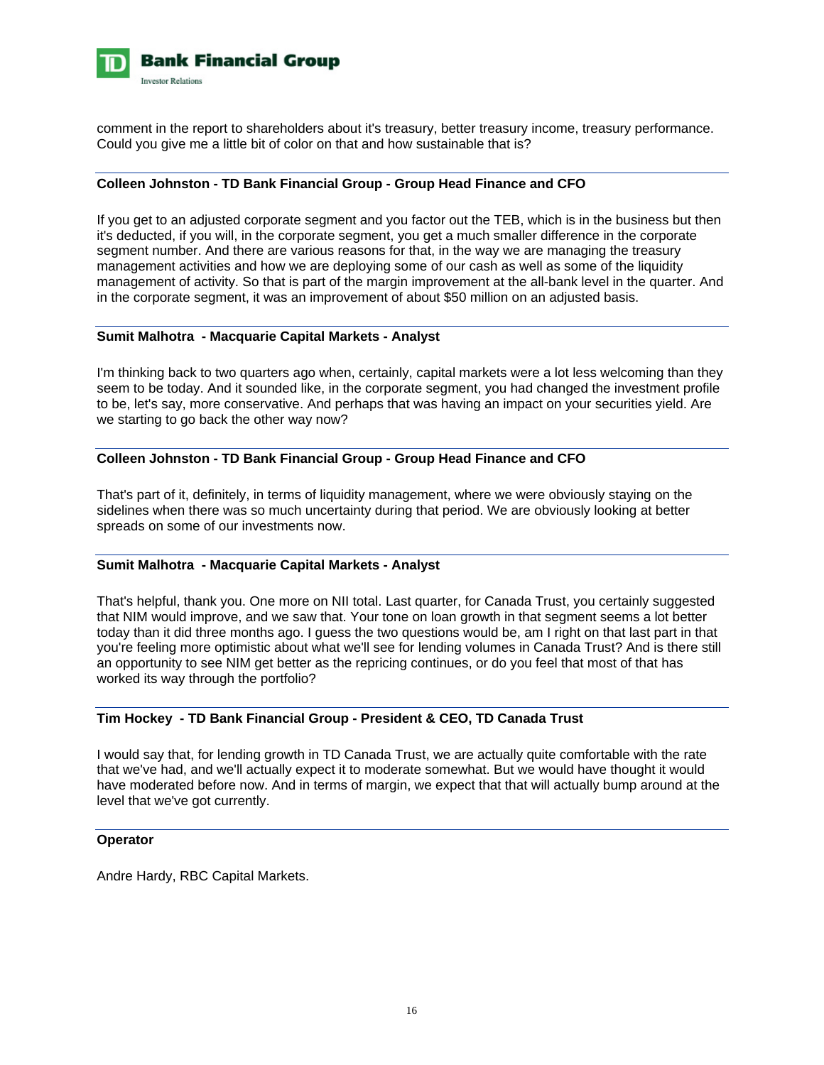

comment in the report to shareholders about it's treasury, better treasury income, treasury performance. Could you give me a little bit of color on that and how sustainable that is?

### **Colleen Johnston - TD Bank Financial Group - Group Head Finance and CFO**

If you get to an adjusted corporate segment and you factor out the TEB, which is in the business but then it's deducted, if you will, in the corporate segment, you get a much smaller difference in the corporate segment number. And there are various reasons for that, in the way we are managing the treasury management activities and how we are deploying some of our cash as well as some of the liquidity management of activity. So that is part of the margin improvement at the all-bank level in the quarter. And in the corporate segment, it was an improvement of about \$50 million on an adjusted basis.

### **Sumit Malhotra - Macquarie Capital Markets - Analyst**

I'm thinking back to two quarters ago when, certainly, capital markets were a lot less welcoming than they seem to be today. And it sounded like, in the corporate segment, you had changed the investment profile to be, let's say, more conservative. And perhaps that was having an impact on your securities yield. Are we starting to go back the other way now?

# **Colleen Johnston - TD Bank Financial Group - Group Head Finance and CFO**

That's part of it, definitely, in terms of liquidity management, where we were obviously staying on the sidelines when there was so much uncertainty during that period. We are obviously looking at better spreads on some of our investments now.

#### **Sumit Malhotra - Macquarie Capital Markets - Analyst**

That's helpful, thank you. One more on NII total. Last quarter, for Canada Trust, you certainly suggested that NIM would improve, and we saw that. Your tone on loan growth in that segment seems a lot better today than it did three months ago. I guess the two questions would be, am I right on that last part in that you're feeling more optimistic about what we'll see for lending volumes in Canada Trust? And is there still an opportunity to see NIM get better as the repricing continues, or do you feel that most of that has worked its way through the portfolio?

# **Tim Hockey - TD Bank Financial Group - President & CEO, TD Canada Trust**

I would say that, for lending growth in TD Canada Trust, we are actually quite comfortable with the rate that we've had, and we'll actually expect it to moderate somewhat. But we would have thought it would have moderated before now. And in terms of margin, we expect that that will actually bump around at the level that we've got currently.

#### **Operator**

Andre Hardy, RBC Capital Markets.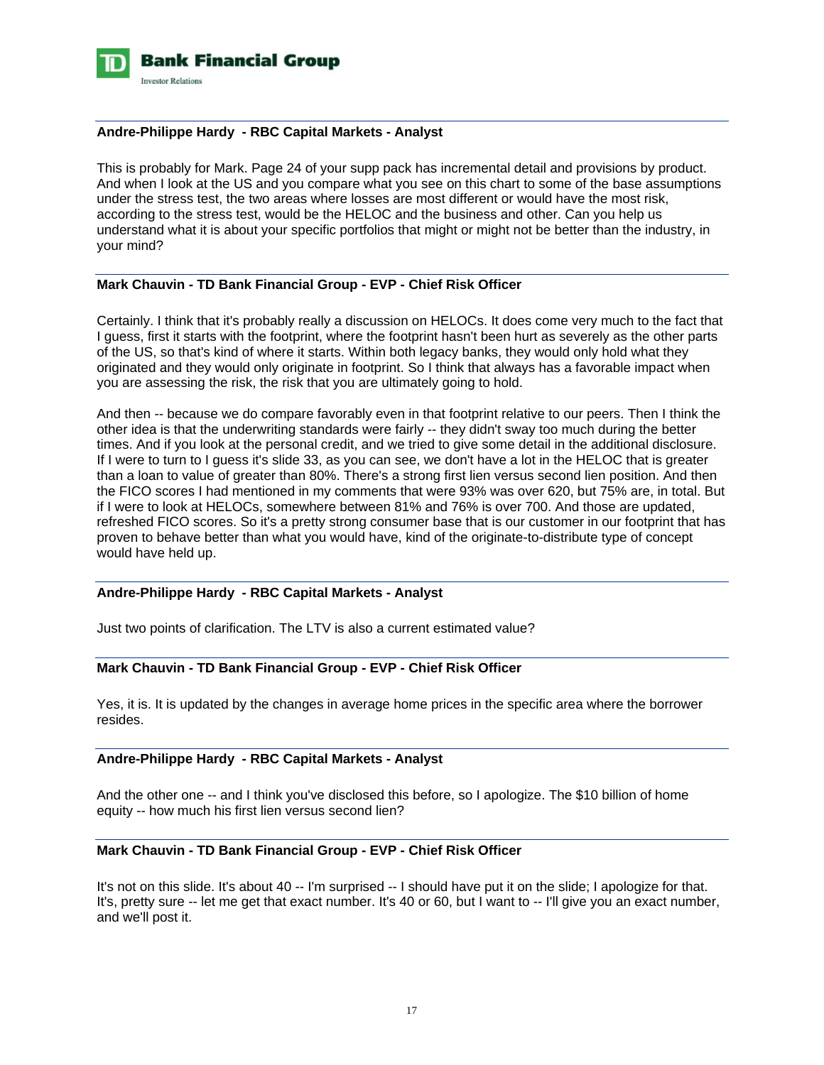

#### **Andre-Philippe Hardy - RBC Capital Markets - Analyst**

This is probably for Mark. Page 24 of your supp pack has incremental detail and provisions by product. And when I look at the US and you compare what you see on this chart to some of the base assumptions under the stress test, the two areas where losses are most different or would have the most risk, according to the stress test, would be the HELOC and the business and other. Can you help us understand what it is about your specific portfolios that might or might not be better than the industry, in your mind?

## **Mark Chauvin - TD Bank Financial Group - EVP - Chief Risk Officer**

Certainly. I think that it's probably really a discussion on HELOCs. It does come very much to the fact that I guess, first it starts with the footprint, where the footprint hasn't been hurt as severely as the other parts of the US, so that's kind of where it starts. Within both legacy banks, they would only hold what they originated and they would only originate in footprint. So I think that always has a favorable impact when you are assessing the risk, the risk that you are ultimately going to hold.

And then -- because we do compare favorably even in that footprint relative to our peers. Then I think the other idea is that the underwriting standards were fairly -- they didn't sway too much during the better times. And if you look at the personal credit, and we tried to give some detail in the additional disclosure. If I were to turn to I guess it's slide 33, as you can see, we don't have a lot in the HELOC that is greater than a loan to value of greater than 80%. There's a strong first lien versus second lien position. And then the FICO scores I had mentioned in my comments that were 93% was over 620, but 75% are, in total. But if I were to look at HELOCs, somewhere between 81% and 76% is over 700. And those are updated, refreshed FICO scores. So it's a pretty strong consumer base that is our customer in our footprint that has proven to behave better than what you would have, kind of the originate-to-distribute type of concept would have held up.

# **Andre-Philippe Hardy - RBC Capital Markets - Analyst**

Just two points of clarification. The LTV is also a current estimated value?

# **Mark Chauvin - TD Bank Financial Group - EVP - Chief Risk Officer**

Yes, it is. It is updated by the changes in average home prices in the specific area where the borrower resides.

# **Andre-Philippe Hardy - RBC Capital Markets - Analyst**

And the other one -- and I think you've disclosed this before, so I apologize. The \$10 billion of home equity -- how much his first lien versus second lien?

## **Mark Chauvin - TD Bank Financial Group - EVP - Chief Risk Officer**

It's not on this slide. It's about 40 -- I'm surprised -- I should have put it on the slide; I apologize for that. It's, pretty sure -- let me get that exact number. It's 40 or 60, but I want to -- I'll give you an exact number, and we'll post it.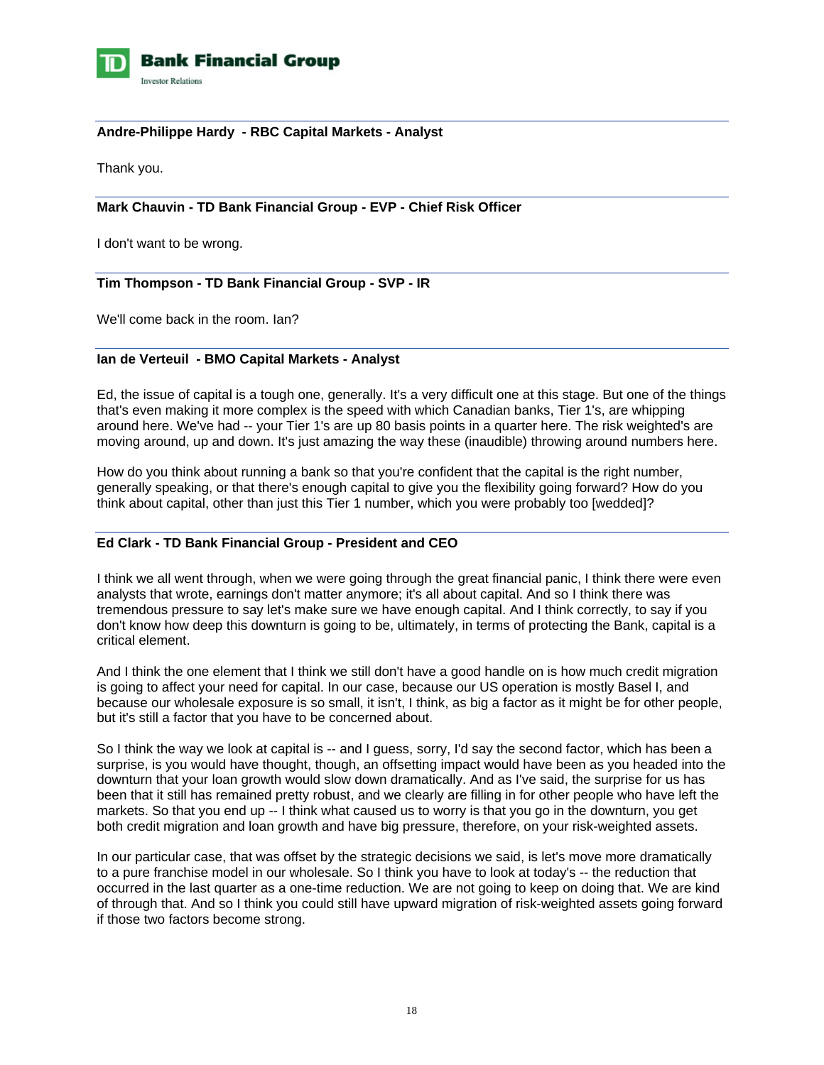

## **Andre-Philippe Hardy - RBC Capital Markets - Analyst**

Thank you.

# **Mark Chauvin - TD Bank Financial Group - EVP - Chief Risk Officer**

I don't want to be wrong.

## **Tim Thompson - TD Bank Financial Group - SVP - IR**

We'll come back in the room. Ian?

### **Ian de Verteuil - BMO Capital Markets - Analyst**

Ed, the issue of capital is a tough one, generally. It's a very difficult one at this stage. But one of the things that's even making it more complex is the speed with which Canadian banks, Tier 1's, are whipping around here. We've had -- your Tier 1's are up 80 basis points in a quarter here. The risk weighted's are moving around, up and down. It's just amazing the way these (inaudible) throwing around numbers here.

How do you think about running a bank so that you're confident that the capital is the right number, generally speaking, or that there's enough capital to give you the flexibility going forward? How do you think about capital, other than just this Tier 1 number, which you were probably too [wedded]?

## **Ed Clark - TD Bank Financial Group - President and CEO**

I think we all went through, when we were going through the great financial panic, I think there were even analysts that wrote, earnings don't matter anymore; it's all about capital. And so I think there was tremendous pressure to say let's make sure we have enough capital. And I think correctly, to say if you don't know how deep this downturn is going to be, ultimately, in terms of protecting the Bank, capital is a critical element.

And I think the one element that I think we still don't have a good handle on is how much credit migration is going to affect your need for capital. In our case, because our US operation is mostly Basel I, and because our wholesale exposure is so small, it isn't, I think, as big a factor as it might be for other people, but it's still a factor that you have to be concerned about.

So I think the way we look at capital is -- and I guess, sorry, I'd say the second factor, which has been a surprise, is you would have thought, though, an offsetting impact would have been as you headed into the downturn that your loan growth would slow down dramatically. And as I've said, the surprise for us has been that it still has remained pretty robust, and we clearly are filling in for other people who have left the markets. So that you end up -- I think what caused us to worry is that you go in the downturn, you get both credit migration and loan growth and have big pressure, therefore, on your risk-weighted assets.

In our particular case, that was offset by the strategic decisions we said, is let's move more dramatically to a pure franchise model in our wholesale. So I think you have to look at today's -- the reduction that occurred in the last quarter as a one-time reduction. We are not going to keep on doing that. We are kind of through that. And so I think you could still have upward migration of risk-weighted assets going forward if those two factors become strong.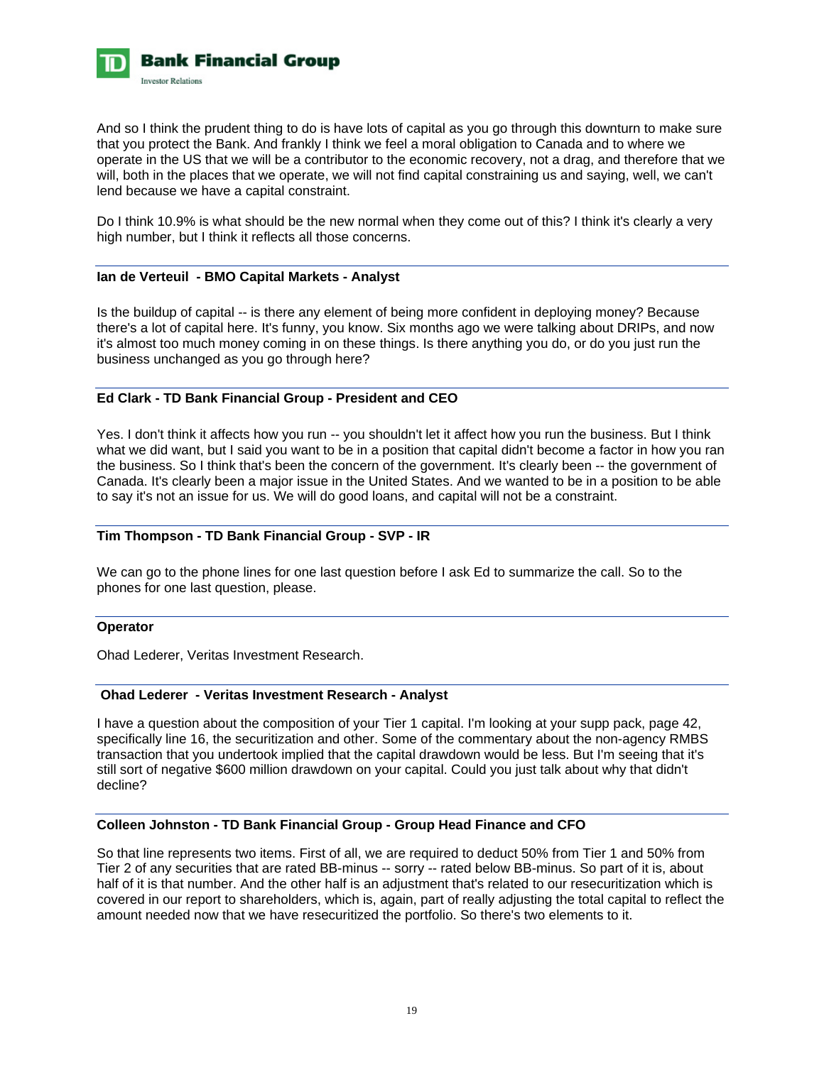

And so I think the prudent thing to do is have lots of capital as you go through this downturn to make sure that you protect the Bank. And frankly I think we feel a moral obligation to Canada and to where we operate in the US that we will be a contributor to the economic recovery, not a drag, and therefore that we will, both in the places that we operate, we will not find capital constraining us and saying, well, we can't lend because we have a capital constraint.

Do I think 10.9% is what should be the new normal when they come out of this? I think it's clearly a very high number, but I think it reflects all those concerns.

### **Ian de Verteuil - BMO Capital Markets - Analyst**

Is the buildup of capital -- is there any element of being more confident in deploying money? Because there's a lot of capital here. It's funny, you know. Six months ago we were talking about DRIPs, and now it's almost too much money coming in on these things. Is there anything you do, or do you just run the business unchanged as you go through here?

## **Ed Clark - TD Bank Financial Group - President and CEO**

Yes. I don't think it affects how you run -- you shouldn't let it affect how you run the business. But I think what we did want, but I said you want to be in a position that capital didn't become a factor in how you ran the business. So I think that's been the concern of the government. It's clearly been -- the government of Canada. It's clearly been a major issue in the United States. And we wanted to be in a position to be able to say it's not an issue for us. We will do good loans, and capital will not be a constraint.

#### **Tim Thompson - TD Bank Financial Group - SVP - IR**

We can go to the phone lines for one last question before I ask Ed to summarize the call. So to the phones for one last question, please.

#### **Operator**

Ohad Lederer, Veritas Investment Research.

## **Ohad Lederer - Veritas Investment Research - Analyst**

I have a question about the composition of your Tier 1 capital. I'm looking at your supp pack, page 42, specifically line 16, the securitization and other. Some of the commentary about the non-agency RMBS transaction that you undertook implied that the capital drawdown would be less. But I'm seeing that it's still sort of negative \$600 million drawdown on your capital. Could you just talk about why that didn't decline?

## **Colleen Johnston - TD Bank Financial Group - Group Head Finance and CFO**

So that line represents two items. First of all, we are required to deduct 50% from Tier 1 and 50% from Tier 2 of any securities that are rated BB-minus -- sorry -- rated below BB-minus. So part of it is, about half of it is that number. And the other half is an adjustment that's related to our resecuritization which is covered in our report to shareholders, which is, again, part of really adjusting the total capital to reflect the amount needed now that we have resecuritized the portfolio. So there's two elements to it.